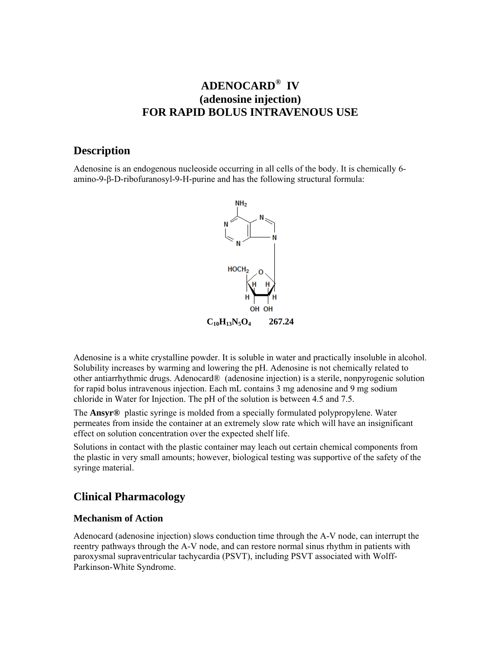# **ADENOCARD® IV (adenosine injection) FOR RAPID BOLUS INTRAVENOUS USE**

### **Description**

Adenosine is an endogenous nucleoside occurring in all cells of the body. It is chemically 6 amino-9-β-D-ribofuranosyl-9-H-purine and has the following structural formula:



Adenosine is a white crystalline powder. It is soluble in water and practically insoluble in alcohol. Solubility increases by warming and lowering the pH. Adenosine is not chemically related to other antiarrhythmic drugs. Adenocard® (adenosine injection) is a sterile, nonpyrogenic solution for rapid bolus intravenous injection. Each mL contains 3 mg adenosine and 9 mg sodium chloride in Water for Injection. The pH of the solution is between 4.5 and 7.5.

The **Ansyr®** plastic syringe is molded from a specially formulated polypropylene. Water permeates from inside the container at an extremely slow rate which will have an insignificant effect on solution concentration over the expected shelf life.

Solutions in contact with the plastic container may leach out certain chemical components from the plastic in very small amounts; however, biological testing was supportive of the safety of the syringe material.

## **Clinical Pharmacology**

#### **Mechanism of Action**

Adenocard (adenosine injection) slows conduction time through the A-V node, can interrupt the reentry pathways through the A-V node, and can restore normal sinus rhythm in patients with paroxysmal supraventricular tachycardia (PSVT), including PSVT associated with Wolff-Parkinson-White Syndrome.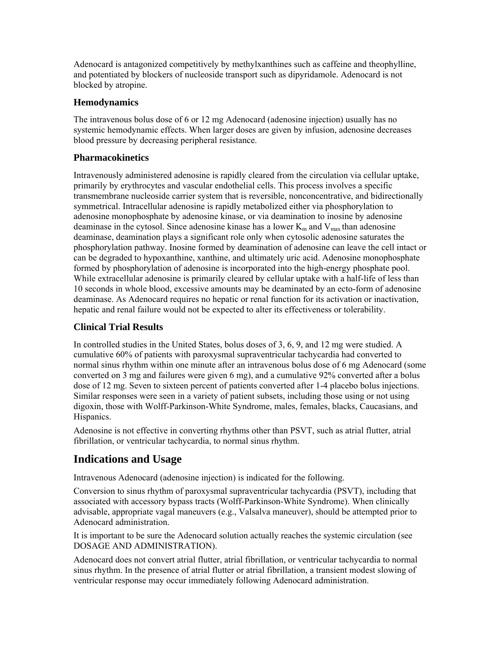Adenocard is antagonized competitively by methylxanthines such as caffeine and theophylline, and potentiated by blockers of nucleoside transport such as dipyridamole. Adenocard is not blocked by atropine.

#### **Hemodynamics**

The intravenous bolus dose of 6 or 12 mg Adenocard (adenosine injection) usually has no systemic hemodynamic effects. When larger doses are given by infusion, adenosine decreases blood pressure by decreasing peripheral resistance.

#### **Pharmacokinetics**

Intravenously administered adenosine is rapidly cleared from the circulation via cellular uptake, primarily by erythrocytes and vascular endothelial cells. This process involves a specific transmembrane nucleoside carrier system that is reversible, nonconcentrative, and bidirectionally symmetrical. Intracellular adenosine is rapidly metabolized either via phosphorylation to adenosine monophosphate by adenosine kinase, or via deamination to inosine by adenosine deaminase in the cytosol. Since adenosine kinase has a lower  $K_m$  and  $V_{max}$  than adenosine deaminase, deamination plays a significant role only when cytosolic adenosine saturates the phosphorylation pathway. Inosine formed by deamination of adenosine can leave the cell intact or can be degraded to hypoxanthine, xanthine, and ultimately uric acid. Adenosine monophosphate formed by phosphorylation of adenosine is incorporated into the high-energy phosphate pool. While extracellular adenosine is primarily cleared by cellular uptake with a half-life of less than 10 seconds in whole blood, excessive amounts may be deaminated by an ecto-form of adenosine deaminase. As Adenocard requires no hepatic or renal function for its activation or inactivation, hepatic and renal failure would not be expected to alter its effectiveness or tolerability.

### **Clinical Trial Results**

In controlled studies in the United States, bolus doses of 3, 6, 9, and 12 mg were studied. A cumulative 60% of patients with paroxysmal supraventricular tachycardia had converted to normal sinus rhythm within one minute after an intravenous bolus dose of 6 mg Adenocard (some converted on 3 mg and failures were given 6 mg), and a cumulative 92% converted after a bolus dose of 12 mg. Seven to sixteen percent of patients converted after 1-4 placebo bolus injections. Similar responses were seen in a variety of patient subsets, including those using or not using digoxin, those with Wolff-Parkinson-White Syndrome, males, females, blacks, Caucasians, and Hispanics.

Adenosine is not effective in converting rhythms other than PSVT, such as atrial flutter, atrial fibrillation, or ventricular tachycardia, to normal sinus rhythm.

## **Indications and Usage**

Intravenous Adenocard (adenosine injection) is indicated for the following.

Conversion to sinus rhythm of paroxysmal supraventricular tachycardia (PSVT), including that associated with accessory bypass tracts (Wolff-Parkinson-White Syndrome). When clinically advisable, appropriate vagal maneuvers (e.g., Valsalva maneuver), should be attempted prior to Adenocard administration.

It is important to be sure the Adenocard solution actually reaches the systemic circulation (see DOSAGE AND ADMINISTRATION).

Adenocard does not convert atrial flutter, atrial fibrillation, or ventricular tachycardia to normal sinus rhythm. In the presence of atrial flutter or atrial fibrillation, a transient modest slowing of ventricular response may occur immediately following Adenocard administration.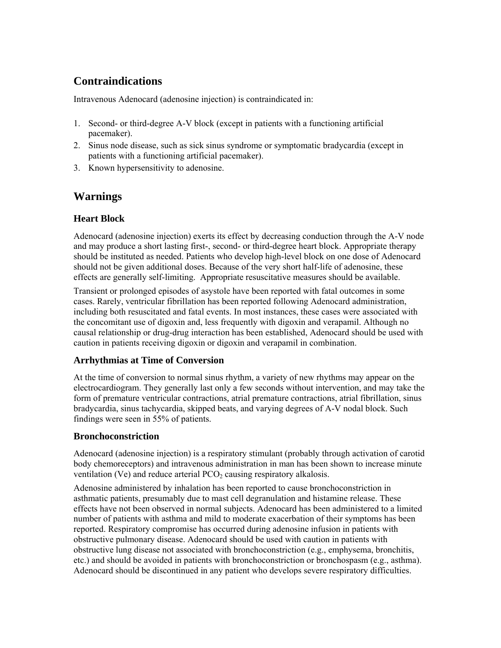# **Contraindications**

Intravenous Adenocard (adenosine injection) is contraindicated in:

- 1. Second- or third-degree A-V block (except in patients with a functioning artificial pacemaker).
- 2. Sinus node disease, such as sick sinus syndrome or symptomatic bradycardia (except in patients with a functioning artificial pacemaker).
- 3. Known hypersensitivity to adenosine.

# **Warnings**

### **Heart Block**

Adenocard (adenosine injection) exerts its effect by decreasing conduction through the A-V node and may produce a short lasting first-, second- or third-degree heart block. Appropriate therapy should be instituted as needed. Patients who develop high-level block on one dose of Adenocard should not be given additional doses. Because of the very short half-life of adenosine, these effects are generally self-limiting. Appropriate resuscitative measures should be available.

Transient or prolonged episodes of asystole have been reported with fatal outcomes in some cases. Rarely, ventricular fibrillation has been reported following Adenocard administration, including both resuscitated and fatal events. In most instances, these cases were associated with the concomitant use of digoxin and, less frequently with digoxin and verapamil. Although no causal relationship or drug-drug interaction has been established, Adenocard should be used with caution in patients receiving digoxin or digoxin and verapamil in combination.

### **Arrhythmias at Time of Conversion**

At the time of conversion to normal sinus rhythm, a variety of new rhythms may appear on the electrocardiogram. They generally last only a few seconds without intervention, and may take the form of premature ventricular contractions, atrial premature contractions, atrial fibrillation, sinus bradycardia, sinus tachycardia, skipped beats, and varying degrees of A-V nodal block. Such findings were seen in 55% of patients.

### **Bronchoconstriction**

Adenocard (adenosine injection) is a respiratory stimulant (probably through activation of carotid body chemoreceptors) and intravenous administration in man has been shown to increase minute ventilation (Ve) and reduce arterial  $PCO<sub>2</sub>$  causing respiratory alkalosis.

Adenosine administered by inhalation has been reported to cause bronchoconstriction in asthmatic patients, presumably due to mast cell degranulation and histamine release. These effects have not been observed in normal subjects. Adenocard has been administered to a limited number of patients with asthma and mild to moderate exacerbation of their symptoms has been reported. Respiratory compromise has occurred during adenosine infusion in patients with obstructive pulmonary disease. Adenocard should be used with caution in patients with obstructive lung disease not associated with bronchoconstriction (e.g., emphysema, bronchitis, etc.) and should be avoided in patients with bronchoconstriction or bronchospasm (e.g., asthma). Adenocard should be discontinued in any patient who develops severe respiratory difficulties.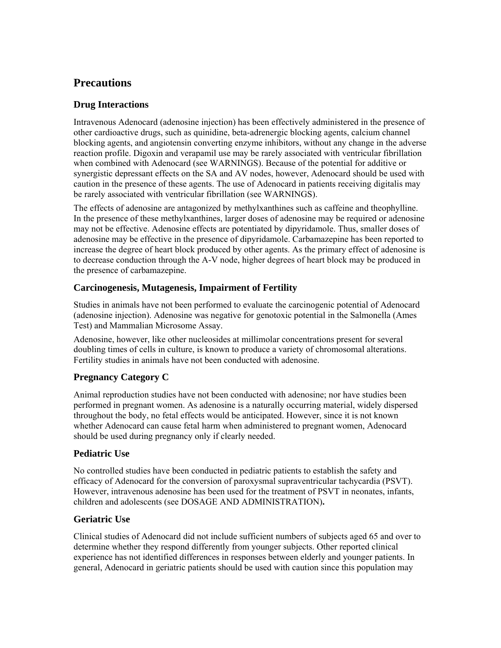# **Precautions**

### **Drug Interactions**

Intravenous Adenocard (adenosine injection) has been effectively administered in the presence of other cardioactive drugs, such as quinidine, beta-adrenergic blocking agents, calcium channel blocking agents, and angiotensin converting enzyme inhibitors, without any change in the adverse reaction profile. Digoxin and verapamil use may be rarely associated with ventricular fibrillation when combined with Adenocard (see WARNINGS). Because of the potential for additive or synergistic depressant effects on the SA and AV nodes, however, Adenocard should be used with caution in the presence of these agents. The use of Adenocard in patients receiving digitalis may be rarely associated with ventricular fibrillation (see WARNINGS).

The effects of adenosine are antagonized by methylxanthines such as caffeine and theophylline. In the presence of these methylxanthines, larger doses of adenosine may be required or adenosine may not be effective. Adenosine effects are potentiated by dipyridamole. Thus, smaller doses of adenosine may be effective in the presence of dipyridamole. Carbamazepine has been reported to increase the degree of heart block produced by other agents. As the primary effect of adenosine is to decrease conduction through the A-V node, higher degrees of heart block may be produced in the presence of carbamazepine.

### **Carcinogenesis, Mutagenesis, Impairment of Fertility**

Studies in animals have not been performed to evaluate the carcinogenic potential of Adenocard (adenosine injection). Adenosine was negative for genotoxic potential in the Salmonella (Ames Test) and Mammalian Microsome Assay.

Adenosine, however, like other nucleosides at millimolar concentrations present for several doubling times of cells in culture, is known to produce a variety of chromosomal alterations. Fertility studies in animals have not been conducted with adenosine.

### **Pregnancy Category C**

Animal reproduction studies have not been conducted with adenosine; nor have studies been performed in pregnant women. As adenosine is a naturally occurring material, widely dispersed throughout the body, no fetal effects would be anticipated. However, since it is not known whether Adenocard can cause fetal harm when administered to pregnant women, Adenocard should be used during pregnancy only if clearly needed.

### **Pediatric Use**

No controlled studies have been conducted in pediatric patients to establish the safety and efficacy of Adenocard for the conversion of paroxysmal supraventricular tachycardia (PSVT). However, intravenous adenosine has been used for the treatment of PSVT in neonates, infants, children and adolescents (see DOSAGE AND ADMINISTRATION)**.**

### **Geriatric Use**

Clinical studies of Adenocard did not include sufficient numbers of subjects aged 65 and over to determine whether they respond differently from younger subjects. Other reported clinical experience has not identified differences in responses between elderly and younger patients. In general, Adenocard in geriatric patients should be used with caution since this population may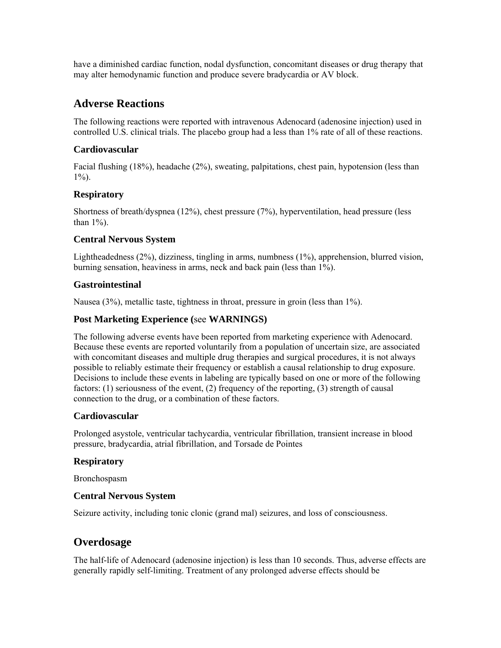have a diminished cardiac function, nodal dysfunction, concomitant diseases or drug therapy that may alter hemodynamic function and produce severe bradycardia or AV block.

### **Adverse Reactions**

The following reactions were reported with intravenous Adenocard (adenosine injection) used in controlled U.S. clinical trials. The placebo group had a less than 1% rate of all of these reactions.

#### **Cardiovascular**

Facial flushing (18%), headache (2%), sweating, palpitations, chest pain, hypotension (less than  $1\%$ ).

#### **Respiratory**

Shortness of breath/dyspnea (12%), chest pressure (7%), hyperventilation, head pressure (less than  $1\%$ ).

#### **Central Nervous System**

Lightheadedness (2%), dizziness, tingling in arms, numbness (1%), apprehension, blurred vision, burning sensation, heaviness in arms, neck and back pain (less than 1%).

#### **Gastrointestinal**

Nausea (3%), metallic taste, tightness in throat, pressure in groin (less than 1%).

#### **Post Marketing Experience (**see **WARNINGS)**

The following adverse events have been reported from marketing experience with Adenocard. Because these events are reported voluntarily from a population of uncertain size, are associated with concomitant diseases and multiple drug therapies and surgical procedures, it is not always possible to reliably estimate their frequency or establish a causal relationship to drug exposure. Decisions to include these events in labeling are typically based on one or more of the following factors: (1) seriousness of the event, (2) frequency of the reporting, (3) strength of causal connection to the drug, or a combination of these factors.

#### **Cardiovascular**

Prolonged asystole, ventricular tachycardia, ventricular fibrillation, transient increase in blood pressure, bradycardia, atrial fibrillation, and Torsade de Pointes

#### **Respiratory**

Bronchospasm

#### **Central Nervous System**

Seizure activity, including tonic clonic (grand mal) seizures, and loss of consciousness.

### **Overdosage**

The half-life of Adenocard (adenosine injection) is less than 10 seconds. Thus, adverse effects are generally rapidly self-limiting. Treatment of any prolonged adverse effects should be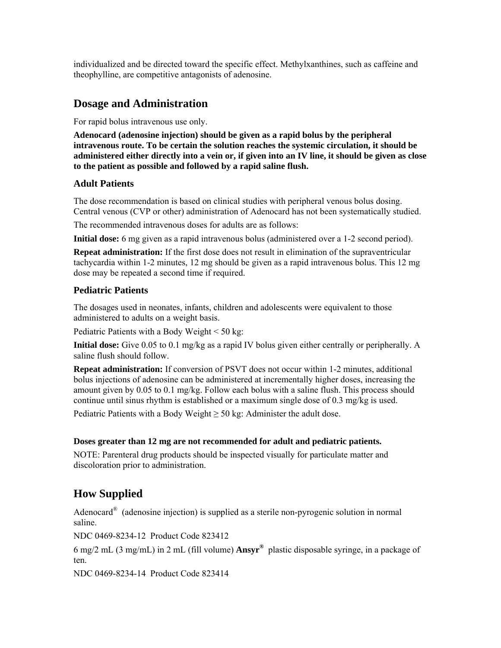individualized and be directed toward the specific effect. Methylxanthines, such as caffeine and theophylline, are competitive antagonists of adenosine.

### **Dosage and Administration**

For rapid bolus intravenous use only.

**Adenocard (adenosine injection) should be given as a rapid bolus by the peripheral intravenous route. To be certain the solution reaches the systemic circulation, it should be administered either directly into a vein or, if given into an IV line, it should be given as close to the patient as possible and followed by a rapid saline flush.**

#### **Adult Patients**

The dose recommendation is based on clinical studies with peripheral venous bolus dosing. Central venous (CVP or other) administration of Adenocard has not been systematically studied.

The recommended intravenous doses for adults are as follows:

**Initial dose:** 6 mg given as a rapid intravenous bolus (administered over a 1-2 second period).

**Repeat administration:** If the first dose does not result in elimination of the supraventricular tachycardia within 1-2 minutes, 12 mg should be given as a rapid intravenous bolus. This 12 mg dose may be repeated a second time if required.

#### **Pediatric Patients**

The dosages used in neonates, infants, children and adolescents were equivalent to those administered to adults on a weight basis.

Pediatric Patients with a Body Weight < 50 kg:

**Initial dose:** Give 0.05 to 0.1 mg/kg as a rapid IV bolus given either centrally or peripherally. A saline flush should follow.

**Repeat administration:** If conversion of PSVT does not occur within 1-2 minutes, additional bolus injections of adenosine can be administered at incrementally higher doses, increasing the amount given by 0.05 to 0.1 mg/kg. Follow each bolus with a saline flush. This process should continue until sinus rhythm is established or a maximum single dose of 0.3 mg/kg is used.

Pediatric Patients with a Body Weight  $\geq$  50 kg: Administer the adult dose.

#### **Doses greater than 12 mg are not recommended for adult and pediatric patients.**

NOTE: Parenteral drug products should be inspected visually for particulate matter and discoloration prior to administration.

## **How Supplied**

Adenocard<sup>®</sup> (adenosine injection) is supplied as a sterile non-pyrogenic solution in normal saline.

NDC 0469-8234-12 Product Code 823412

6 mg/2 mL (3 mg/mL) in 2 mL (fill volume) **Ansyr®** plastic disposable syringe, in a package of ten.

NDC 0469-8234-14 Product Code 823414